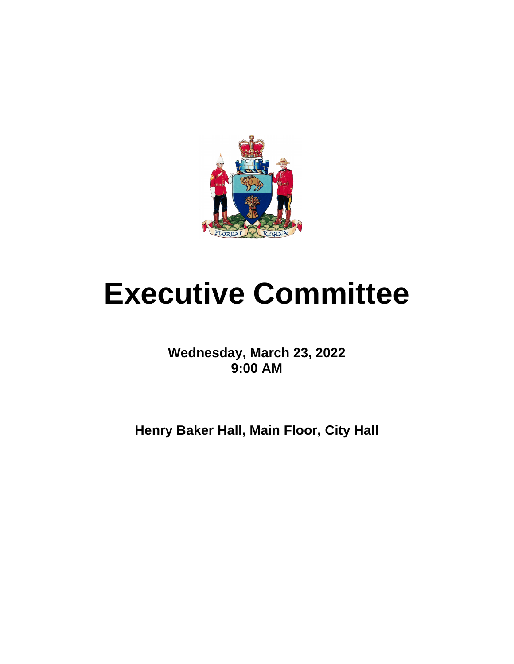

# **Executive Committee**

**Wednesday, March 23, 2022 9:00 AM**

**Henry Baker Hall, Main Floor, City Hall**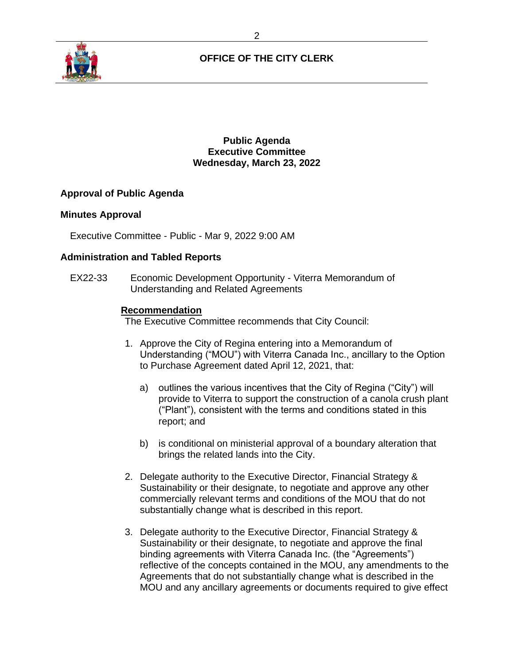

**Public Agenda Executive Committee Wednesday, March 23, 2022**

# **Approval of Public Agenda**

#### **Minutes Approval**

Executive Committee - Public - Mar 9, 2022 9:00 AM

#### **Administration and Tabled Reports**

EX22-33 Economic Development Opportunity - Viterra Memorandum of Understanding and Related Agreements

#### **Recommendation**

- 1. Approve the City of Regina entering into a Memorandum of Understanding ("MOU") with Viterra Canada Inc., ancillary to the Option to Purchase Agreement dated April 12, 2021, that:
	- a) outlines the various incentives that the City of Regina ("City") will provide to Viterra to support the construction of a canola crush plant ("Plant"), consistent with the terms and conditions stated in this report; and
	- b) is conditional on ministerial approval of a boundary alteration that brings the related lands into the City.
- 2. Delegate authority to the Executive Director, Financial Strategy & Sustainability or their designate, to negotiate and approve any other commercially relevant terms and conditions of the MOU that do not substantially change what is described in this report.
- 3. Delegate authority to the Executive Director, Financial Strategy & Sustainability or their designate, to negotiate and approve the final binding agreements with Viterra Canada Inc. (the "Agreements") reflective of the concepts contained in the MOU, any amendments to the Agreements that do not substantially change what is described in the MOU and any ancillary agreements or documents required to give effect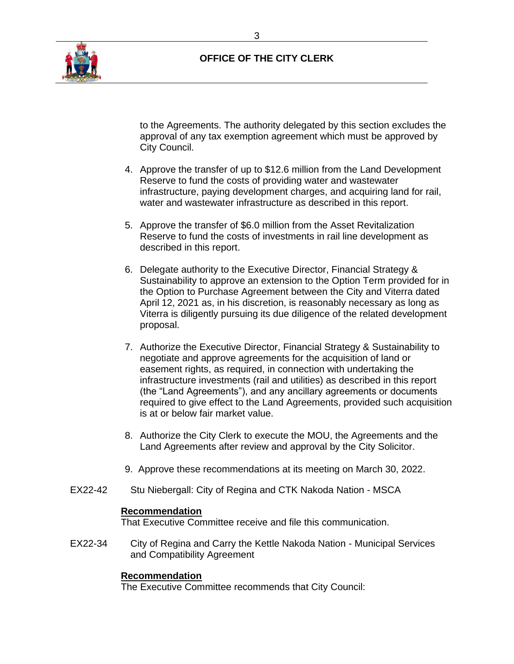

to the Agreements. The authority delegated by this section excludes the approval of any tax exemption agreement which must be approved by City Council.

- 4. Approve the transfer of up to \$12.6 million from the Land Development Reserve to fund the costs of providing water and wastewater infrastructure, paying development charges, and acquiring land for rail, water and wastewater infrastructure as described in this report.
- 5. Approve the transfer of \$6.0 million from the Asset Revitalization Reserve to fund the costs of investments in rail line development as described in this report.
- 6. Delegate authority to the Executive Director, Financial Strategy & Sustainability to approve an extension to the Option Term provided for in the Option to Purchase Agreement between the City and Viterra dated April 12, 2021 as, in his discretion, is reasonably necessary as long as Viterra is diligently pursuing its due diligence of the related development proposal.
- 7. Authorize the Executive Director, Financial Strategy & Sustainability to negotiate and approve agreements for the acquisition of land or easement rights, as required, in connection with undertaking the infrastructure investments (rail and utilities) as described in this report (the "Land Agreements"), and any ancillary agreements or documents required to give effect to the Land Agreements, provided such acquisition is at or below fair market value.
- 8. Authorize the City Clerk to execute the MOU, the Agreements and the Land Agreements after review and approval by the City Solicitor.
- 9. Approve these recommendations at its meeting on March 30, 2022.
- EX22-42 Stu Niebergall: City of Regina and CTK Nakoda Nation MSCA

# **Recommendation**

That Executive Committee receive and file this communication.

EX22-34 City of Regina and Carry the Kettle Nakoda Nation - Municipal Services and Compatibility Agreement

# **Recommendation**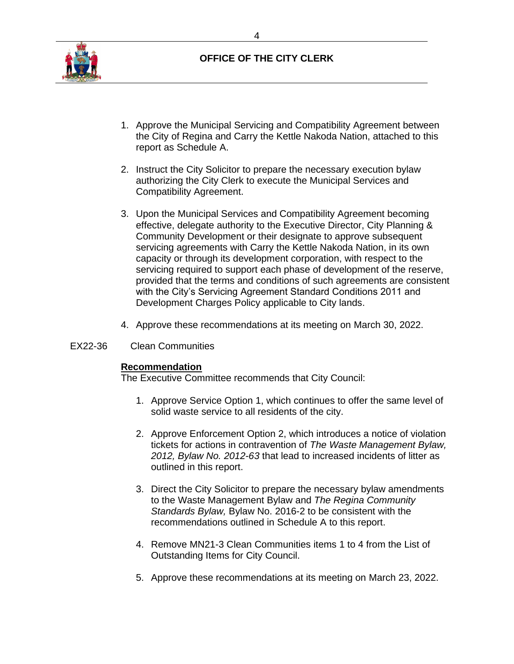

- 1. Approve the Municipal Servicing and Compatibility Agreement between the City of Regina and Carry the Kettle Nakoda Nation, attached to this report as Schedule A.
- 2. Instruct the City Solicitor to prepare the necessary execution bylaw authorizing the City Clerk to execute the Municipal Services and Compatibility Agreement.
- 3. Upon the Municipal Services and Compatibility Agreement becoming effective, delegate authority to the Executive Director, City Planning & Community Development or their designate to approve subsequent servicing agreements with Carry the Kettle Nakoda Nation, in its own capacity or through its development corporation, with respect to the servicing required to support each phase of development of the reserve, provided that the terms and conditions of such agreements are consistent with the City's Servicing Agreement Standard Conditions 2011 and Development Charges Policy applicable to City lands.
- 4. Approve these recommendations at its meeting on March 30, 2022.

# EX22-36 Clean Communities

# **Recommendation**

- 1. Approve Service Option 1, which continues to offer the same level of solid waste service to all residents of the city.
- 2. Approve Enforcement Option 2, which introduces a notice of violation tickets for actions in contravention of *The Waste Management Bylaw, 2012, Bylaw No. 2012-63* that lead to increased incidents of litter as outlined in this report.
- 3. Direct the City Solicitor to prepare the necessary bylaw amendments to the Waste Management Bylaw and *The Regina Community Standards Bylaw,* Bylaw No. 2016-2 to be consistent with the recommendations outlined in Schedule A to this report.
- 4. Remove MN21-3 Clean Communities items 1 to 4 from the List of Outstanding Items for City Council.
- 5. Approve these recommendations at its meeting on March 23, 2022.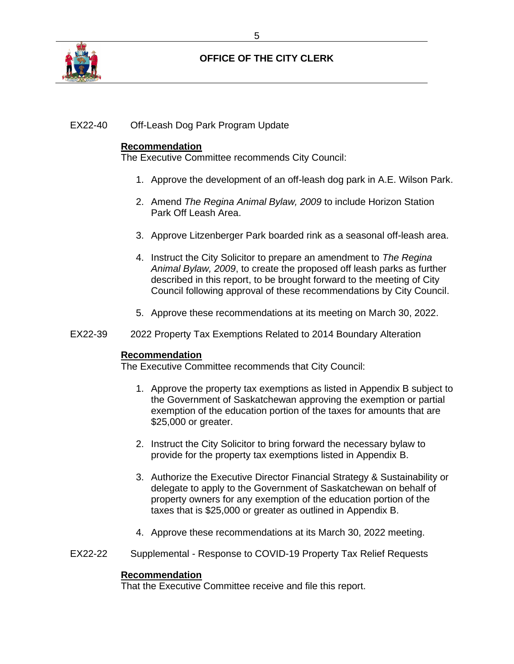

# EX22-40 Off-Leash Dog Park Program Update

## **Recommendation**

The Executive Committee recommends City Council:

- 1. Approve the development of an off-leash dog park in A.E. Wilson Park.
- 2. Amend *The Regina Animal Bylaw, 2009* to include Horizon Station Park Off Leash Area.
- 3. Approve Litzenberger Park boarded rink as a seasonal off-leash area.
- 4. Instruct the City Solicitor to prepare an amendment to *The Regina Animal Bylaw, 2009*, to create the proposed off leash parks as further described in this report, to be brought forward to the meeting of City Council following approval of these recommendations by City Council.
- 5. Approve these recommendations at its meeting on March 30, 2022.
- EX22-39 2022 Property Tax Exemptions Related to 2014 Boundary Alteration

#### **Recommendation**

The Executive Committee recommends that City Council:

- 1. Approve the property tax exemptions as listed in Appendix B subject to the Government of Saskatchewan approving the exemption or partial exemption of the education portion of the taxes for amounts that are \$25,000 or greater.
- 2. Instruct the City Solicitor to bring forward the necessary bylaw to provide for the property tax exemptions listed in Appendix B.
- 3. Authorize the Executive Director Financial Strategy & Sustainability or delegate to apply to the Government of Saskatchewan on behalf of property owners for any exemption of the education portion of the taxes that is \$25,000 or greater as outlined in Appendix B.
- 4. Approve these recommendations at its March 30, 2022 meeting.
- EX22-22 Supplemental Response to COVID-19 Property Tax Relief Requests

# **Recommendation**

That the Executive Committee receive and file this report.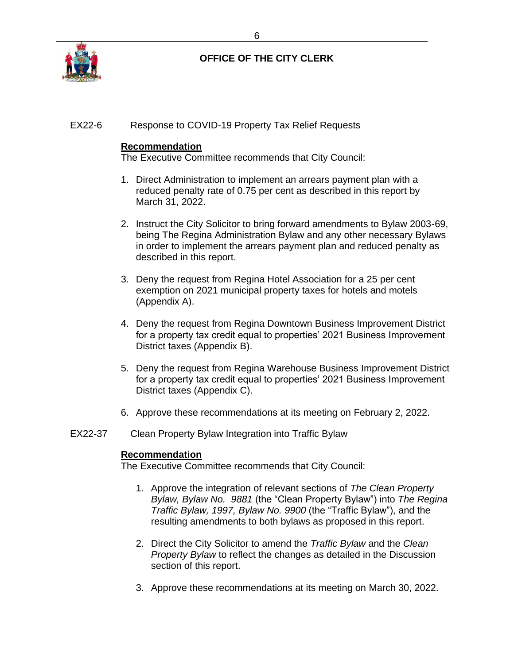

# EX22-6 Response to COVID-19 Property Tax Relief Requests

## **Recommendation**

The Executive Committee recommends that City Council:

- 1. Direct Administration to implement an arrears payment plan with a reduced penalty rate of 0.75 per cent as described in this report by March 31, 2022.
- 2. Instruct the City Solicitor to bring forward amendments to Bylaw 2003-69, being The Regina Administration Bylaw and any other necessary Bylaws in order to implement the arrears payment plan and reduced penalty as described in this report.
- 3. Deny the request from Regina Hotel Association for a 25 per cent exemption on 2021 municipal property taxes for hotels and motels (Appendix A).
- 4. Deny the request from Regina Downtown Business Improvement District for a property tax credit equal to properties' 2021 Business Improvement District taxes (Appendix B).
- 5. Deny the request from Regina Warehouse Business Improvement District for a property tax credit equal to properties' 2021 Business Improvement District taxes (Appendix C).
- 6. Approve these recommendations at its meeting on February 2, 2022.
- EX22-37 Clean Property Bylaw Integration into Traffic Bylaw

#### **Recommendation**

- 1. Approve the integration of relevant sections of *The Clean Property Bylaw, Bylaw No. 9881* (the "Clean Property Bylaw") into *The Regina Traffic Bylaw, 1997, Bylaw No. 9900* (the "Traffic Bylaw"), and the resulting amendments to both bylaws as proposed in this report.
- 2. Direct the City Solicitor to amend the *Traffic Bylaw* and the *Clean Property Bylaw* to reflect the changes as detailed in the Discussion section of this report.
- 3. Approve these recommendations at its meeting on March 30, 2022.